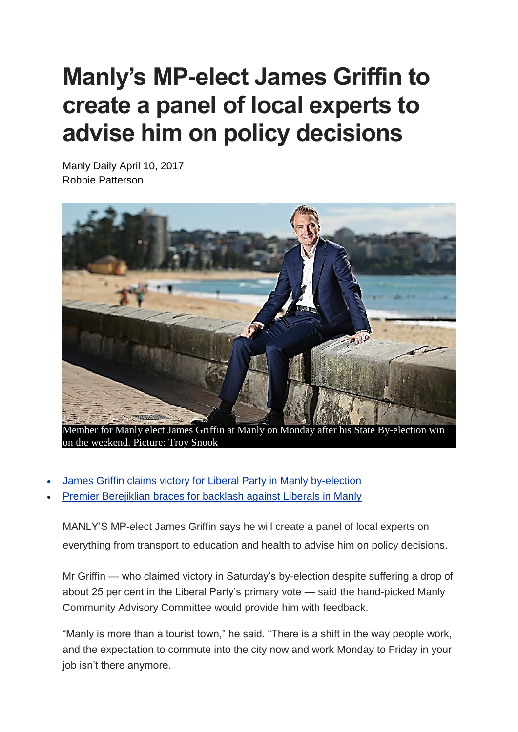## **Manly's MP-elect James Griffin to create a panel of local experts to advise him on policy decisions**

Manly Daily April 10, 2017 Robbie Patterson



Member for Manly elect James Griffin at Manly on Monday after his State By-election win on the weekend. Picture: Troy Snook

- James Griffin claims victory for Liberal Party in Manly [by-election](http://www.dailytelegraph.com.au/newslocal/manly-daily/manly-byelection-2017-result/news-story/f0837addf9b78d8496bee06c77024dcb)
- Premier [Berejiklian](http://www.dailytelegraph.com.au/newslocal/manly-daily/premier-gladys-berejiklian-braces-for-backlash-against-liberals-in-manly-byelection/news-story/60398bad8c3ef09b15b6a10748bebc9f) braces for backlash against Liberals in Manly

MANLY'S MP-elect James Griffin says he will create a panel of local experts on everything from transport to education and health to advise him on policy decisions.

Mr Griffin — who claimed victory in Saturday's by-election despite suffering a drop of about 25 per cent in the Liberal Party's primary vote — said the hand-picked Manly Community Advisory Committee would provide him with feedback.

"Manly is more than a tourist town," he said. "There is a shift in the way people work, and the expectation to commute into the city now and work Monday to Friday in your job isn't there anymore.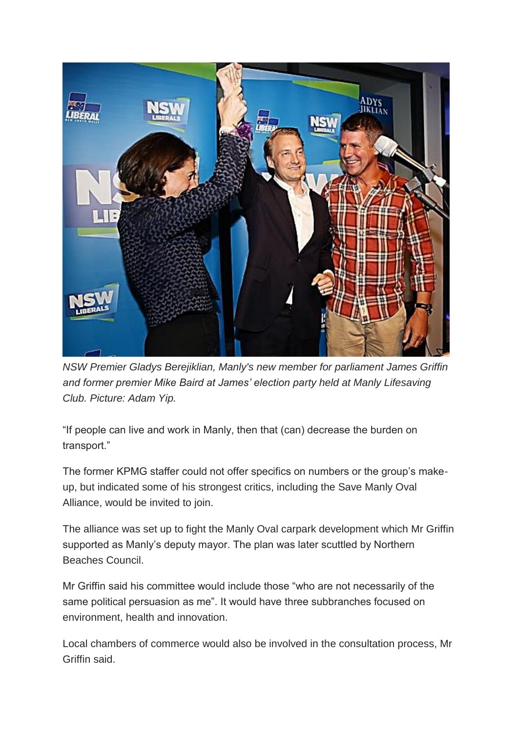

*NSW Premier Gladys Berejiklian, Manly's new member for parliament James Griffin and former premier Mike Baird at James' election party held at Manly Lifesaving Club. Picture: Adam Yip.*

"If people can live and work in Manly, then that (can) decrease the burden on transport."

The former KPMG staffer could not offer specifics on numbers or the group's makeup, but indicated some of his strongest critics, including the Save Manly Oval Alliance, would be invited to join.

The alliance was set up to fight the Manly Oval carpark development which Mr Griffin supported as Manly's deputy mayor. The plan was later scuttled by Northern Beaches Council.

Mr Griffin said his committee would include those "who are not necessarily of the same political persuasion as me". It would have three subbranches focused on environment, health and innovation.

Local chambers of commerce would also be involved in the consultation process, Mr Griffin said.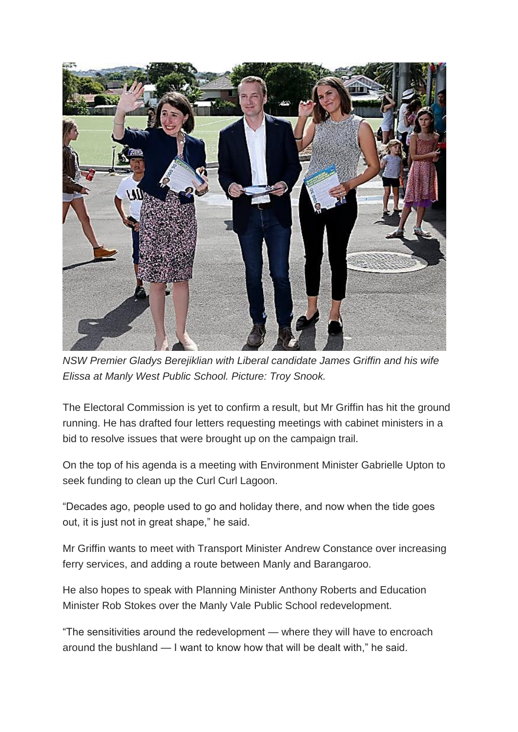

*NSW Premier Gladys Berejiklian with Liberal candidate James Griffin and his wife Elissa at Manly West Public School. Picture: Troy Snook.*

The Electoral Commission is yet to confirm a result, but Mr Griffin has hit the ground running. He has drafted four letters requesting meetings with cabinet ministers in a bid to resolve issues that were brought up on the campaign trail.

On the top of his agenda is a meeting with Environment Minister Gabrielle Upton to seek funding to clean up the Curl Curl Lagoon.

"Decades ago, people used to go and holiday there, and now when the tide goes out, it is just not in great shape," he said.

Mr Griffin wants to meet with Transport Minister Andrew Constance over increasing ferry services, and adding a route between Manly and Barangaroo.

He also hopes to speak with Planning Minister Anthony Roberts and Education Minister Rob Stokes over the Manly Vale Public School redevelopment.

"The sensitivities around the redevelopment — where they will have to encroach around the bushland — I want to know how that will be dealt with," he said.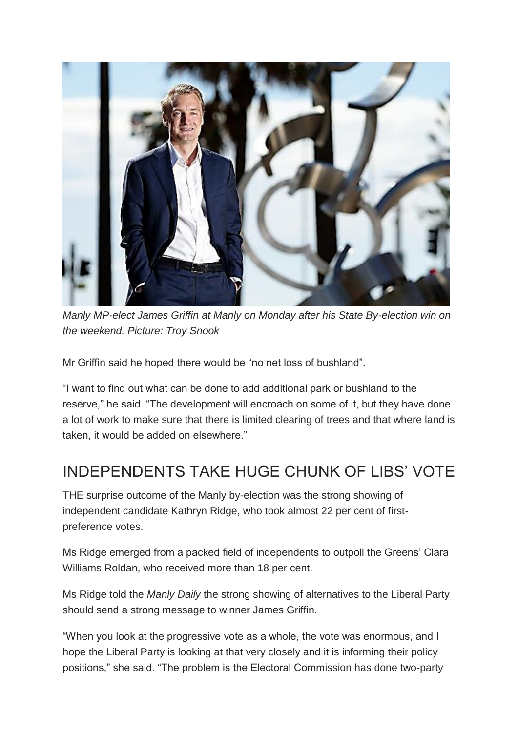

*Manly MP-elect James Griffin at Manly on Monday after his State By-election win on the weekend. Picture: Troy Snook*

Mr Griffin said he hoped there would be "no net loss of bushland".

"I want to find out what can be done to add additional park or bushland to the reserve," he said. "The development will encroach on some of it, but they have done a lot of work to make sure that there is limited clearing of trees and that where land is taken, it would be added on elsewhere."

## INDEPENDENTS TAKE HUGE CHUNK OF LIBS' VOTE

THE surprise outcome of the Manly by-election was the strong showing of independent candidate Kathryn Ridge, who took almost 22 per cent of firstpreference votes.

Ms Ridge emerged from a packed field of independents to outpoll the Greens' Clara Williams Roldan, who received more than 18 per cent.

Ms Ridge told the *Manly Daily* the strong showing of alternatives to the Liberal Party should send a strong message to winner James Griffin.

"When you look at the progressive vote as a whole, the vote was enormous, and I hope the Liberal Party is looking at that very closely and it is informing their policy positions," she said. "The problem is the Electoral Commission has done two-party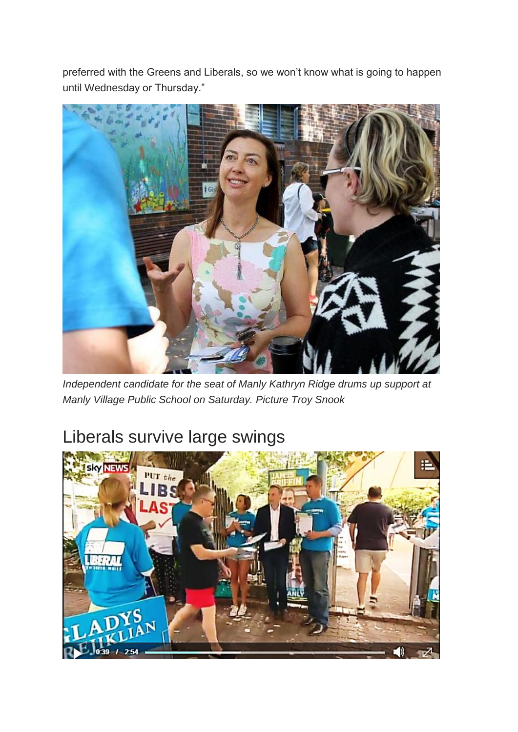preferred with the Greens and Liberals, so we won't know what is going to happen until Wednesday or Thursday."



*Independent candidate for the seat of Manly Kathryn Ridge drums up support at Manly Village Public School on Saturday. Picture Troy Snook*

## Liberals survive large swings